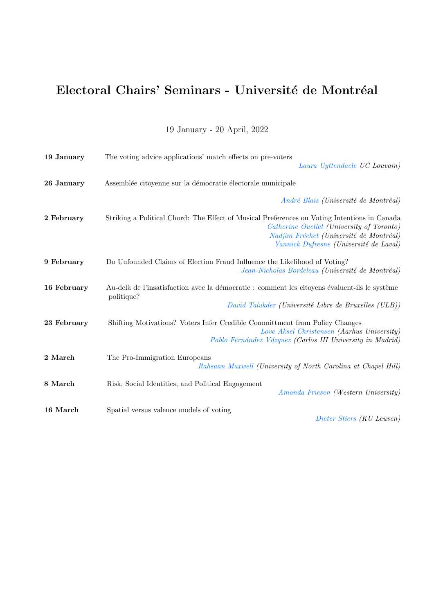## Electoral Chairs' Seminars - Université de Montréal

19 January - 20 April, 2022

| 19 January  | The voting advice applications' match effects on pre-voters<br>Laura Uyttendaele UC Louvain)                                                                                                                                   |
|-------------|--------------------------------------------------------------------------------------------------------------------------------------------------------------------------------------------------------------------------------|
| 26 January  | Assemblée citoyenne sur la démocratie électorale municipale                                                                                                                                                                    |
|             | André Blais (Université de Montréal)                                                                                                                                                                                           |
| 2 February  | Striking a Political Chord: The Effect of Musical Preferences on Voting Intentions in Canada<br>Catherine Ouellet (University of Toronto)<br>Nadjim Fréchet (Université de Montréal)<br>Yannick Dufresne (Université de Laval) |
| 9 February  | Do Unfounded Claims of Election Fraud Influence the Likelihood of Voting?<br>Jean-Nicholas Bordeleau (Université de Montréal)                                                                                                  |
| 16 February | Au-delà de l'insatisfaction avec la démocratie : comment les citoyens évaluent-ils le système<br>politique?<br>David Talukder (Université Libre de Bruxelles (ULB))                                                            |
| 23 February | Shifting Motivations? Voters Infer Credible Committment from Policy Changes<br>Love Aksel Christensen (Aarhus University)<br>Pablo Fernández Vázquez (Carlos III University in Madrid)                                         |
| 2 March     | The Pro-Immigration Europeans<br>Rahsaan Maxwell (University of North Carolina at Chapel Hill)                                                                                                                                 |
| 8 March     | Risk, Social Identities, and Political Engagement<br>Amanda Friesen (Western University)                                                                                                                                       |
| 16 March    | Spatial versus valence models of voting<br>Dieter Stiers (KU Leuven)                                                                                                                                                           |